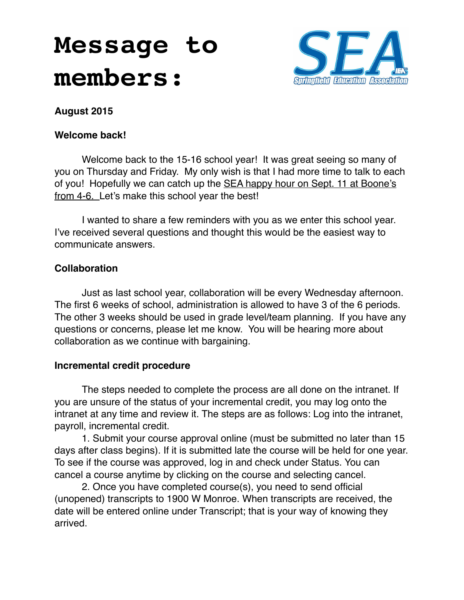# **Message to members:**



### **August 2015**

#### **Welcome back!**

Welcome back to the 15-16 school year! It was great seeing so many of you on Thursday and Friday. My only wish is that I had more time to talk to each of you! Hopefully we can catch up the SEA happy hour on Sept. 11 at Boone's from 4-6. Let's make this school year the best!

I wanted to share a few reminders with you as we enter this school year. I've received several questions and thought this would be the easiest way to communicate answers.

### **Collaboration**

Just as last school year, collaboration will be every Wednesday afternoon. The first 6 weeks of school, administration is allowed to have 3 of the 6 periods. The other 3 weeks should be used in grade level/team planning. If you have any questions or concerns, please let me know. You will be hearing more about collaboration as we continue with bargaining.

#### **Incremental credit procedure**

The steps needed to complete the process are all done on the intranet. If you are unsure of the status of your incremental credit, you may log onto the intranet at any time and review it. The steps are as follows: Log into the intranet, payroll, incremental credit.

1. Submit your course approval online (must be submitted no later than 15 days after class begins). If it is submitted late the course will be held for one year. To see if the course was approved, log in and check under Status. You can cancel a course anytime by clicking on the course and selecting cancel.

2. Once you have completed course(s), you need to send official (unopened) transcripts to 1900 W Monroe. When transcripts are received, the date will be entered online under Transcript; that is your way of knowing they arrived.